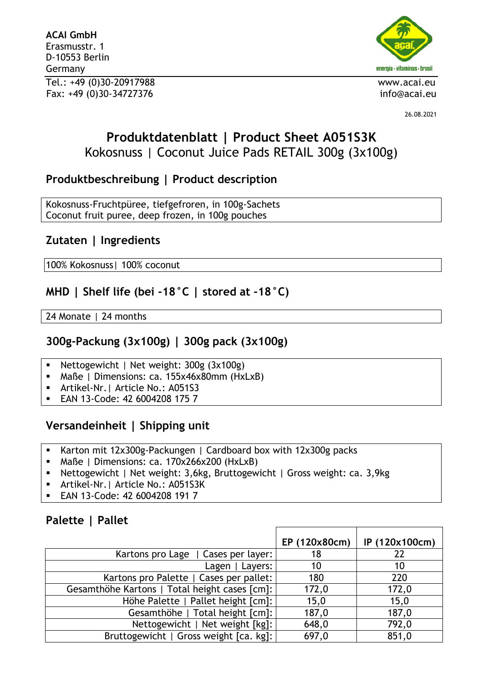**ACAI GmbH** Erasmusstr. 1 D-10553 Berlin Germany Tel.: +49 (0)30-20917988 www.acai.eu Fax: +49 (0)30-34727376 info@acai.eu



26.08.2021

# **Produktdatenblatt | Product Sheet A051S3K** Kokosnuss | Coconut Juice Pads RETAIL 300g (3x100g)

## **Produktbeschreibung | Product description**

Kokosnuss-Fruchtpüree, tiefgefroren, in 100g-Sachets Coconut fruit puree, deep frozen, in 100g pouches

## **Zutaten | Ingredients**

100% Kokosnuss| 100% coconut

## **MHD | Shelf life (bei -18°C | stored at -18°C)**

24 Monate | 24 months

### **300g-Packung (3x100g) | 300g pack (3x100g)**

- Nettogewicht | Net weight: 300g (3x100g)
- Maße | Dimensions: ca. 155x46x80mm (HxLxB)
- Artikel-Nr.| Article No.: A051S3
- EAN 13-Code: 42 6004208 175 7

## **Versandeinheit | Shipping unit**

- Karton mit 12x300g-Packungen | Cardboard box with 12x300g packs
- Maße | Dimensions: ca. 170x266x200 (HxLxB)
- Nettogewicht | Net weight: 3,6kg, Bruttogewicht | Gross weight: ca. 3,9kg
- Artikel-Nr. | Article No.: A051S3K
- EAN 13-Code: 42 6004208 191 7

#### **Palette | Pallet**

|                                               | EP (120x80cm) | IP (120x100cm) |
|-----------------------------------------------|---------------|----------------|
| Kartons pro Lage   Cases per layer:           | 18            | 22             |
| Lagen   Layers:                               | 10            | 10             |
| Kartons pro Palette   Cases per pallet:       | 180           | 220            |
| Gesamthöhe Kartons   Total height cases [cm]: | 172,0         | 172,0          |
| Höhe Palette   Pallet height [cm]:            | 15,0          | 15,0           |
| Gesamthöhe   Total height [cm]:               | 187,0         | 187,0          |
| Nettogewicht   Net weight [kg]:               | 648,0         | 792,0          |
| Bruttogewicht   Gross weight [ca. kg]:        | 697,0         | 851,0          |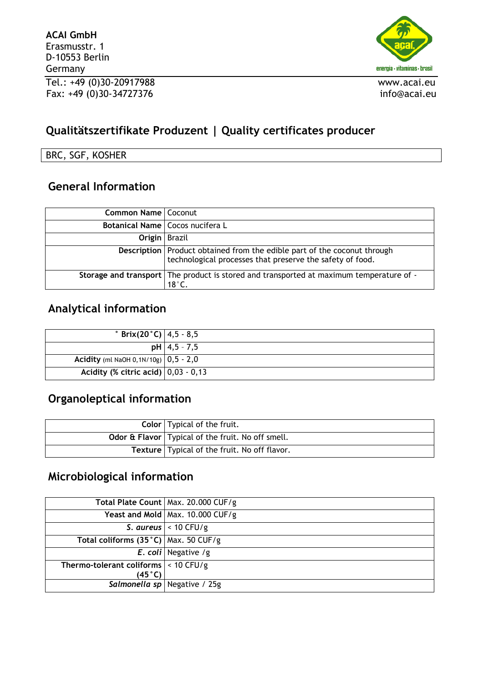

# **Qualitätszertifikate Produzent | Quality certificates producer**

BRC, SGF, KOSHER

## **General Information**

| Common Name   Coconut |                                                                                                                                         |
|-----------------------|-----------------------------------------------------------------------------------------------------------------------------------------|
|                       | Botanical Name   Cocos nucifera L                                                                                                       |
| <b>Origin</b> Brazil  |                                                                                                                                         |
|                       | Description   Product obtained from the edible part of the coconut through<br>technological processes that preserve the safety of food. |
|                       | Storage and transport   The product is stored and transported at maximum temperature of -<br>$18^\circ$ C.                              |

### **Analytical information**

| $\degree$ Brix(20 $\degree$ C)   4,5 - 8,5                   |                  |
|--------------------------------------------------------------|------------------|
|                                                              | $pH$   4,5 - 7,5 |
| <b>Acidity</b> (ml NaOH 0, 1N/10g) $\vert 0, 5 - 2, 0 \vert$ |                  |
| Acidity (% citric acid) $ 0,03 - 0,13 $                      |                  |

# **Organoleptical information**

| <b>Color</b>   Typical of the fruit.                |
|-----------------------------------------------------|
| Odor & Flavor   Typical of the fruit. No off smell. |
| Texture   Typical of the fruit. No off flavor.      |

# **Microbiological information**

|                                          | Total Plate Count   Max. 20.000 CUF/g |
|------------------------------------------|---------------------------------------|
|                                          | Yeast and Mold   Max. 10.000 CUF/g    |
|                                          | S. aureus $\vert$ < 10 CFU/g          |
| Total coliforms (35°C)   Max. 50 CUF/g   |                                       |
|                                          | <b>E.</b> coli Negative /g            |
| Thermo-tolerant coliforms $ $ < 10 CFU/g |                                       |
| (45°C)                                   |                                       |
|                                          | Salmonella sp   Negative / 25g        |